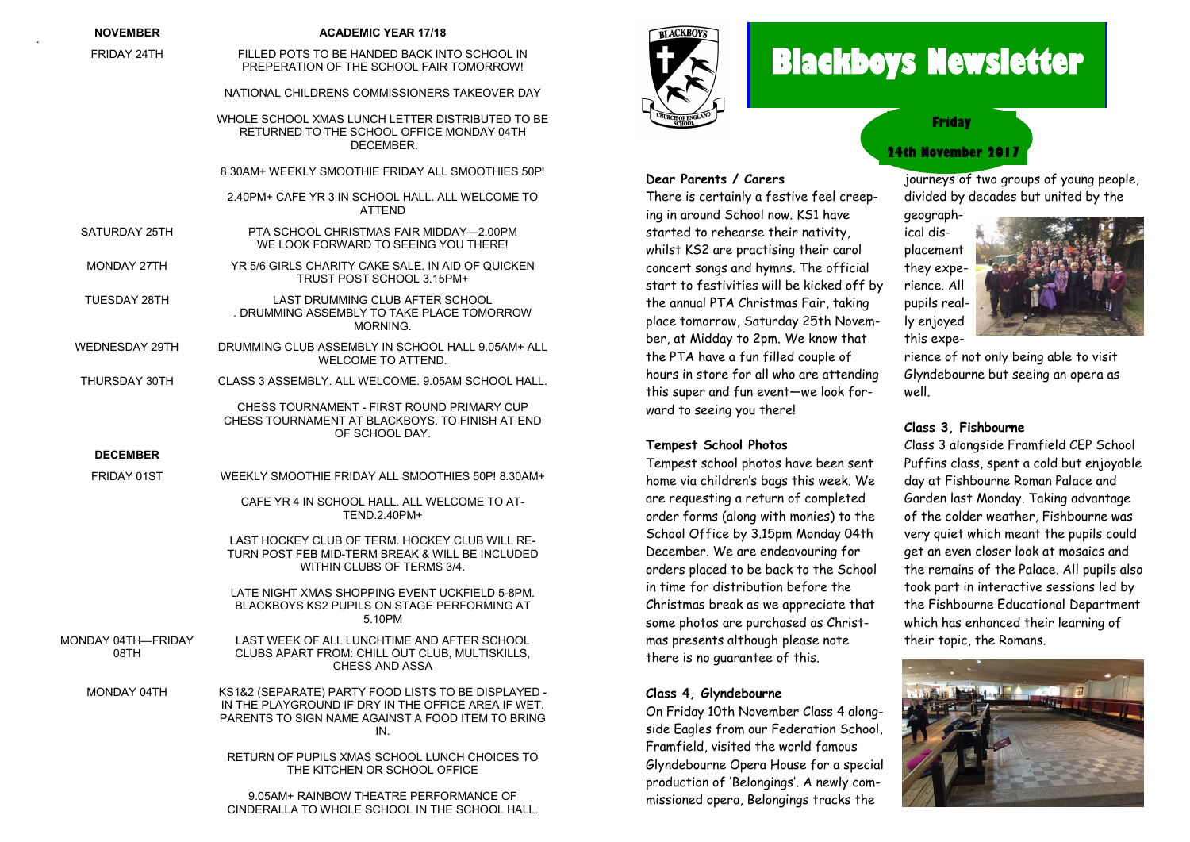| <b>NOVEMBER</b>            | <b>ACADEMIC YEAR 17/18</b>                                                                                                                                             |
|----------------------------|------------------------------------------------------------------------------------------------------------------------------------------------------------------------|
| FRIDAY 24TH                | FILLED POTS TO BE HANDED BACK INTO SCHOOL IN<br>PREPERATION OF THE SCHOOL FAIR TOMORROW!                                                                               |
|                            | NATIONAL CHILDRENS COMMISSIONERS TAKEOVER DAY                                                                                                                          |
|                            | WHOLE SCHOOL XMAS LUNCH LETTER DISTRIBUTED TO BE<br>RETURNED TO THE SCHOOL OFFICE MONDAY 04TH<br>DECEMBER.                                                             |
|                            | 8.30AM+ WEEKLY SMOOTHIE FRIDAY ALL SMOOTHIES 50P!                                                                                                                      |
|                            | 2.40PM+ CAFE YR 3 IN SCHOOL HALL. ALL WELCOME TO<br><b>ATTEND</b>                                                                                                      |
| SATURDAY 25TH              | PTA SCHOOL CHRISTMAS FAIR MIDDAY-2.00PM<br>WE LOOK FORWARD TO SEEING YOU THERE!                                                                                        |
| MONDAY 27TH                | YR 5/6 GIRLS CHARITY CAKE SALE. IN AID OF QUICKEN<br>TRUST POST SCHOOL 3.15PM+                                                                                         |
| TUESDAY 28TH               | LAST DRUMMING CLUB AFTER SCHOOL<br>. DRUMMING ASSEMBLY TO TAKE PLACE TOMORROW<br>MORNING.                                                                              |
| WEDNESDAY 29TH             | DRUMMING CLUB ASSEMBLY IN SCHOOL HALL 9.05AM+ ALL<br><b>WELCOME TO ATTEND.</b>                                                                                         |
| THURSDAY 30TH              | CLASS 3 ASSEMBLY, ALL WELCOME, 9.05AM SCHOOL HALL.                                                                                                                     |
|                            | CHESS TOURNAMENT - FIRST ROUND PRIMARY CUP<br>CHESS TOURNAMENT AT BLACKBOYS. TO FINISH AT END<br>OF SCHOOL DAY.                                                        |
| <b>DECEMBER</b>            |                                                                                                                                                                        |
| FRIDAY 01ST                | WEEKLY SMOOTHIE FRIDAY ALL SMOOTHIES 50P! 8.30AM+                                                                                                                      |
|                            | CAFE YR 4 IN SCHOOL HALL. ALL WELCOME TO AT-<br>TEND.2.40PM+                                                                                                           |
|                            | LAST HOCKEY CLUB OF TERM. HOCKEY CLUB WILL RE-<br>TURN POST FEB MID-TERM BREAK & WILL BE INCLUDED<br>WITHIN CLUBS OF TERMS 3/4.                                        |
|                            | LATE NIGHT XMAS SHOPPING EVENT UCKFIELD 5-8PM.<br>BLACKBOYS KS2 PUPILS ON STAGE PERFORMING AT<br>5.10PM                                                                |
| MONDAY 04TH—FRIDAY<br>08TH | LAST WEEK OF ALL LUNCHTIME AND AFTER SCHOOL<br>CLUBS APART FROM: CHILL OUT CLUB. MULTISKILLS.<br>CHESS AND ASSA                                                        |
| MONDAY 04TH                | KS1&2 (SEPARATE) PARTY FOOD LISTS TO BE DISPLAYED -<br>IN THE PLAYGROUND IF DRY IN THE OFFICE AREA IF WET.<br>PARENTS TO SIGN NAME AGAINST A FOOD ITEM TO BRING<br>IN. |
|                            | RETURN OF PUPILS XMAS SCHOOL LUNCH CHOICES TO<br>THE KITCHEN OR SCHOOL OFFICE                                                                                          |
|                            | 9.05AM+ RAINBOW THEATRE PERFORMANCE OF                                                                                                                                 |

CINDERALLA TO WHOLE SCHOOL IN THE SCHOOL HALL.

.



**Dear Parents / Carers**

There is certainly a festive feel creep-

# **Blackboys Newsletter**

**Friday**

### **24th November 2017**

journeys of two groups of young people, divided by decades but united by the

ing in around School now. KS1 have started to rehearse their nativity, whilst KS2 are practising their carol concert songs and hymns. The official start to festivities will be kicked off by the annual PTA Christmas Fair, taking place tomorrow, Saturday 25th November, at Midday to 2pm. We know that the PTA have a fun filled couple of hours in store for all who are attending geographical displacement they experience. All pupils really enjoyed this expe-



rience of not only being able to visit Glyndebourne but seeing an opera as well.

#### **Class 3, Fishbourne**

Class 3 alongside Framfield CEP School Puffins class, spent a cold but enjoyable day at Fishbourne Roman Palace and Garden last Monday. Taking advantage of the colder weather, Fishbourne was very quiet which meant the pupils could get an even closer look at mosaics and the remains of the Palace. All pupils also took part in interactive sessions led by the Fishbourne Educational Department which has enhanced their learning of their topic, the Romans.



# **Tempest School Photos**

ward to seeing you there!

this super and fun event—we look for-

Tempest school photos have been sent home via children's bags this week. We are requesting a return of completed order forms (along with monies) to the School Office by 3.15pm Monday 04th December. We are endeavouring for orders placed to be back to the School in time for distribution before the Christmas break as we appreciate that some photos are purchased as Christmas presents although please note there is no guarantee of this.

#### **Class 4, Glyndebourne**

On Friday 10th November Class 4 alongside Eagles from our Federation School, Framfield, visited the world famous Glyndebourne Opera House for a special production of 'Belongings'. A newly commissioned opera, Belongings tracks the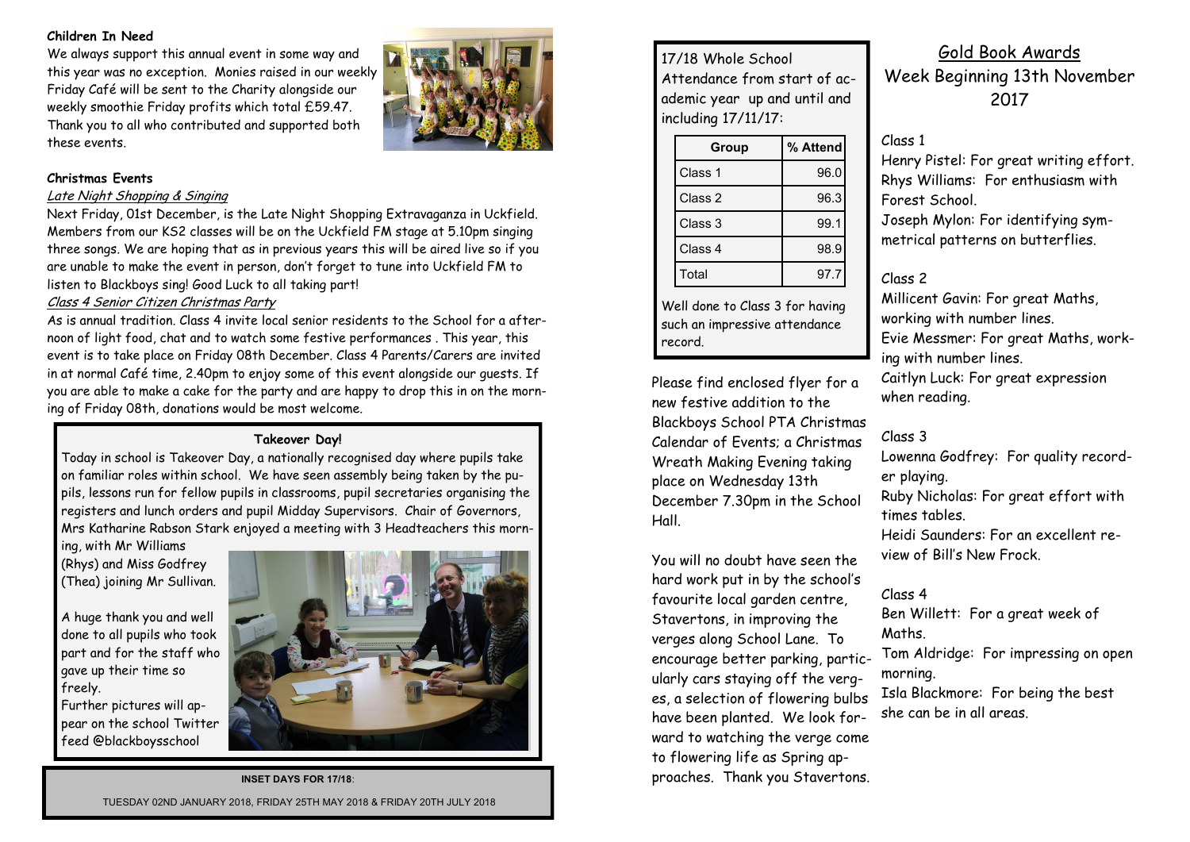#### **Children In Need**

We always support this annual event in some way and this year was no exception. Monies raised in our weekly Friday Café will be sent to the Charity alongside our weekly smoothie Friday profits which total £59.47. Thank you to all who contributed and supported both these events.



#### **Christmas Events**

#### Late Night Shopping & Singing

Next Friday, 01st December, is the Late Night Shopping Extravaganza in Uckfield. Members from our KS2 classes will be on the Uckfield FM stage at 5.10pm singing three songs. We are hoping that as in previous years this will be aired live so if you are unable to make the event in person, don't forget to tune into Uckfield FM to listen to Blackboys sing! Good Luck to all taking part!

#### Class 4 Senior Citizen Christmas Party

As is annual tradition. Class 4 invite local senior residents to the School for a afternoon of light food, chat and to watch some festive performances . This year, this event is to take place on Friday 08th December. Class 4 Parents/Carers are invited in at normal Café time, 2.40pm to enjoy some of this event alongside our guests. If you are able to make a cake for the party and are happy to drop this in on the morning of Friday 08th, donations would be most welcome.

#### **Takeover Day!**

Today in school is Takeover Day, a nationally recognised day where pupils take on familiar roles within school. We have seen assembly being taken by the pupils, lessons run for fellow pupils in classrooms, pupil secretaries organising the registers and lunch orders and pupil Midday Supervisors. Chair of Governors, Mrs Katharine Rabson Stark enjoyed a meeting with 3 Headteachers this morn-

ing, with Mr Williams (Rhys) and Miss Godfrey (Thea) joining Mr Sullivan.

A huge thank you and well done to all pupils who took part and for the staff who gave up their time so freely.

Further pictures will appear on the school Twitter feed @blackboysschool



**INSET DAYS FOR 17/18**: TUESDAY 02ND JANUARY 2018, FRIDAY 25TH MAY 2018 & FRIDAY 20TH JULY 2018

17/18 Whole School Attendance from start of academic year up and until and including 17/11/17:

| Group   | % Attend |
|---------|----------|
| Class 1 | 96.0     |
| Class 2 | 96.3     |
| Class 3 | 99.1     |
| Class 4 | 98.9     |
| Total   | 97.7     |

Well done to Class 3 for having such an impressive attendance record.

Please find enclosed flyer for a new festive addition to the Blackboys School PTA Christmas Calendar of Events; a Christmas Wreath Making Evening taking place on Wednesday 13th December 7.30pm in the School Hall.

You will no doubt have seen the hard work put in by the school's favourite local garden centre, Stavertons, in improving the verges along School Lane. To encourage better parking, particularly cars staying off the verges, a selection of flowering bulbs have been planted. We look forward to watching the verge come to flowering life as Spring approaches. Thank you Stavertons.

Gold Book Awards Week Beginning 13th November 2017

#### Class 1

Henry Pistel: For great writing effort. Rhys Williams: For enthusiasm with Forest School.

Joseph Mylon: For identifying symmetrical patterns on butterflies.

#### Class 2

Millicent Gavin: For great Maths, working with number lines. Evie Messmer: For great Maths, working with number lines. Caitlyn Luck: For great expression when reading.

#### Class 3

Lowenna Godfrey: For quality recorder playing. Ruby Nicholas: For great effort with times tables. Heidi Saunders: For an excellent review of Bill's New Frock.

## Class 4

Ben Willett: For a great week of Maths.

Tom Aldridge: For impressing on open morning. Isla Blackmore: For being the best

she can be in all areas.